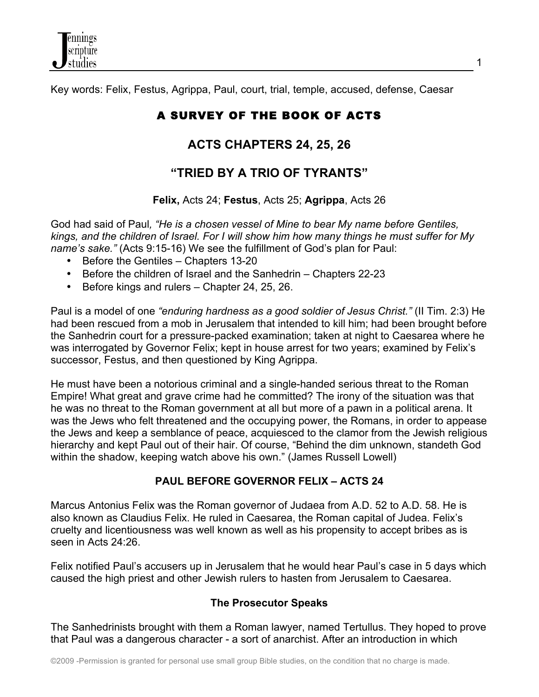Key words: Felix, Festus, Agrippa, Paul, court, trial, temple, accused, defense, Caesar

# A SURVEY OF THE BOOK OF ACTS

## **ACTS CHAPTERS 24, 25, 26**

## **"TRIED BY A TRIO OF TYRANTS"**

## **Felix,** Acts 24; **Festus**, Acts 25; **Agrippa**, Acts 26

God had said of Paul*, "He is a chosen vessel of Mine to bear My name before Gentiles, kings, and the children of Israel. For I will show him how many things he must suffer for My name's sake."* (Acts 9:15-16) We see the fulfillment of God's plan for Paul:

- Before the Gentiles Chapters 13-20
- Before the children of Israel and the Sanhedrin Chapters 22-23
- Before kings and rulers Chapter 24, 25, 26.

Paul is a model of one *"enduring hardness as a good soldier of Jesus Christ."* (II Tim. 2:3) He had been rescued from a mob in Jerusalem that intended to kill him; had been brought before the Sanhedrin court for a pressure-packed examination; taken at night to Caesarea where he was interrogated by Governor Felix; kept in house arrest for two years; examined by Felix's successor, Festus, and then questioned by King Agrippa.

He must have been a notorious criminal and a single-handed serious threat to the Roman Empire! What great and grave crime had he committed? The irony of the situation was that he was no threat to the Roman government at all but more of a pawn in a political arena. It was the Jews who felt threatened and the occupying power, the Romans, in order to appease the Jews and keep a semblance of peace, acquiesced to the clamor from the Jewish religious hierarchy and kept Paul out of their hair. Of course, "Behind the dim unknown, standeth God within the shadow, keeping watch above his own." (James Russell Lowell)

## **PAUL BEFORE GOVERNOR FELIX – ACTS 24**

Marcus Antonius Felix was the Roman governor of Judaea from A.D. 52 to A.D. 58. He is also known as Claudius Felix. He ruled in Caesarea, the Roman capital of Judea. Felix's cruelty and licentiousness was well known as well as his propensity to accept bribes as is seen in Acts 24:26.

Felix notified Paul's accusers up in Jerusalem that he would hear Paul's case in 5 days which caused the high priest and other Jewish rulers to hasten from Jerusalem to Caesarea.

## **The Prosecutor Speaks**

The Sanhedrinists brought with them a Roman lawyer, named Tertullus. They hoped to prove that Paul was a dangerous character - a sort of anarchist. After an introduction in which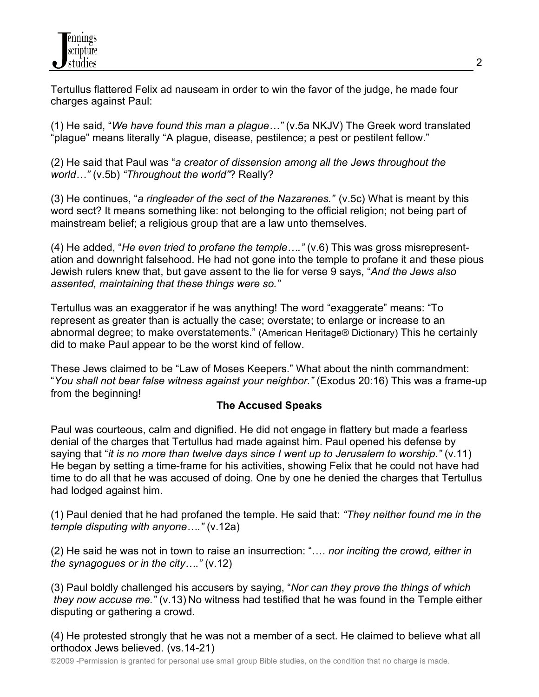Tertullus flattered Felix ad nauseam in order to win the favor of the judge, he made four charges against Paul:

(1) He said, "*We have found this man a plague…"* (v.5a NKJV) The Greek word translated "plague" means literally "A plague, disease, pestilence; a pest or pestilent fellow."

(2) He said that Paul was "*a creator of dissension among all the Jews throughout the world…"* (v.5b) *"Throughout the world"*? Really?

(3) He continues, "*a ringleader of the sect of the Nazarenes."* (v.5c) What is meant by this word sect? It means something like: not belonging to the official religion; not being part of mainstream belief; a religious group that are a law unto themselves.

(4) He added, "*He even tried to profane the temple…."* (v.6) This was gross misrepresentation and downright falsehood. He had not gone into the temple to profane it and these pious Jewish rulers knew that, but gave assent to the lie for verse 9 says, "*And the Jews also assented, maintaining that these things were so."*

Tertullus was an exaggerator if he was anything! The word "exaggerate" means: "To represent as greater than is actually the case; overstate; to enlarge or increase to an abnormal degree; to make overstatements." (American Heritage® Dictionary) This he certainly did to make Paul appear to be the worst kind of fellow.

These Jews claimed to be "Law of Moses Keepers." What about the ninth commandment: "*You shall not bear false witness against your neighbor."* (Exodus 20:16) This was a frame-up from the beginning!

## **The Accused Speaks**

Paul was courteous, calm and dignified. He did not engage in flattery but made a fearless denial of the charges that Tertullus had made against him. Paul opened his defense by saying that "*it is no more than twelve days since I went up to Jerusalem to worship."* (v.11) He began by setting a time-frame for his activities, showing Felix that he could not have had time to do all that he was accused of doing. One by one he denied the charges that Tertullus had lodged against him.

(1) Paul denied that he had profaned the temple. He said that: *"They neither found me in the temple disputing with anyone…."* (v.12a)

(2) He said he was not in town to raise an insurrection: "…. *nor inciting the crowd, either in the synagogues or in the city…."* (v.12)

(3) Paul boldly challenged his accusers by saying, "*Nor can they prove the things of which they now accuse me."* (v.13) No witness had testified that he was found in the Temple either disputing or gathering a crowd.

(4) He protested strongly that he was not a member of a sect. He claimed to believe what all orthodox Jews believed. (vs.14-21)

©2009 -Permission is granted for personal use small group Bible studies, on the condition that no charge is made.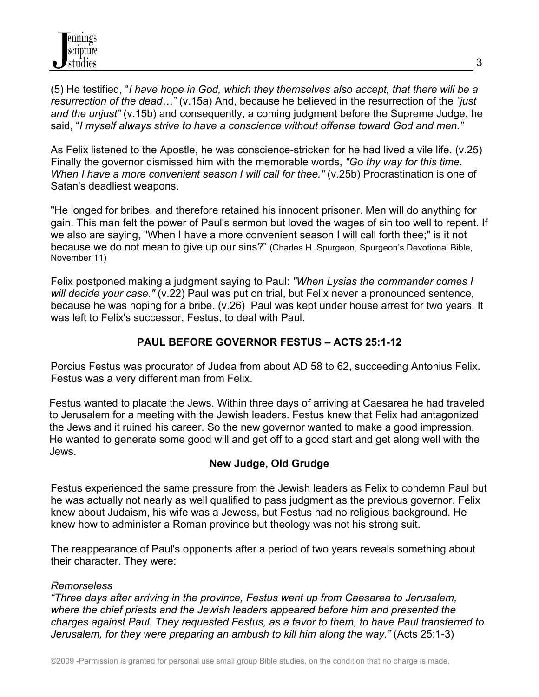(5) He testified, "*I have hope in God, which they themselves also accept, that there will be a resurrection of the dead…"* (v.15a) And, because he believed in the resurrection of the *"just and the unjust"* (v.15b) and consequently, a coming judgment before the Supreme Judge, he said, "*I myself always strive to have a conscience without offense toward God and men."* 

As Felix listened to the Apostle, he was conscience-stricken for he had lived a vile life. (v.25) Finally the governor dismissed him with the memorable words, *"Go thy way for this time. When I have a more convenient season I will call for thee." (v.25b)* Procrastination is one of Satan's deadliest weapons.

"He longed for bribes, and therefore retained his innocent prisoner. Men will do anything for gain. This man felt the power of Paul's sermon but loved the wages of sin too well to repent. If we also are saying, "When I have a more convenient season I will call forth thee;" is it not because we do not mean to give up our sins?" (Charles H. Spurgeon, Spurgeon's Devotional Bible, November 11)

Felix postponed making a judgment saying to Paul: *"When Lysias the commander comes I will decide your case."* (v.22) Paul was put on trial, but Felix never a pronounced sentence, because he was hoping for a bribe. (v.26) Paul was kept under house arrest for two years. It was left to Felix's successor, Festus, to deal with Paul.

## **PAUL BEFORE GOVERNOR FESTUS – ACTS 25:1-12**

Porcius Festus was procurator of Judea from about AD 58 to 62, succeeding Antonius Felix. Festus was a very different man from Felix.

Festus wanted to placate the Jews. Within three days of arriving at Caesarea he had traveled to Jerusalem for a meeting with the Jewish leaders. Festus knew that Felix had antagonized the Jews and it ruined his career. So the new governor wanted to make a good impression. He wanted to generate some good will and get off to a good start and get along well with the Jews.

## **New Judge, Old Grudge**

Festus experienced the same pressure from the Jewish leaders as Felix to condemn Paul but he was actually not nearly as well qualified to pass judgment as the previous governor. Felix knew about Judaism, his wife was a Jewess, but Festus had no religious background. He knew how to administer a Roman province but theology was not his strong suit.

The reappearance of Paul's opponents after a period of two years reveals something about their character. They were:

#### *Remorseless*

*"Three days after arriving in the province, Festus went up from Caesarea to Jerusalem, where the chief priests and the Jewish leaders appeared before him and presented the charges against Paul. They requested Festus, as a favor to them, to have Paul transferred to Jerusalem, for they were preparing an ambush to kill him along the way."* (Acts 25:1-3)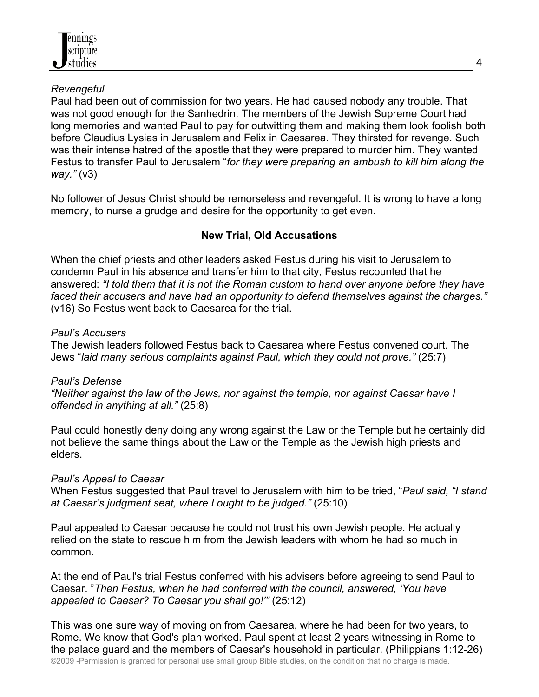

### *Revengeful*

Paul had been out of commission for two years. He had caused nobody any trouble. That was not good enough for the Sanhedrin. The members of the Jewish Supreme Court had long memories and wanted Paul to pay for outwitting them and making them look foolish both before Claudius Lysias in Jerusalem and Felix in Caesarea. They thirsted for revenge. Such was their intense hatred of the apostle that they were prepared to murder him. They wanted Festus to transfer Paul to Jerusalem "*for they were preparing an ambush to kill him along the way."* (v3)

No follower of Jesus Christ should be remorseless and revengeful. It is wrong to have a long memory, to nurse a grudge and desire for the opportunity to get even.

### **New Trial, Old Accusations**

When the chief priests and other leaders asked Festus during his visit to Jerusalem to condemn Paul in his absence and transfer him to that city, Festus recounted that he answered: *"I told them that it is not the Roman custom to hand over anyone before they have faced their accusers and have had an opportunity to defend themselves against the charges."* (v16) So Festus went back to Caesarea for the trial.

#### *Paul's Accusers*

The Jewish leaders followed Festus back to Caesarea where Festus convened court. The Jews "*laid many serious complaints against Paul, which they could not prove."* (25:7)

## *Paul's Defense*

*"Neither against the law of the Jews, nor against the temple, nor against Caesar have I offended in anything at all."* (25:8)

Paul could honestly deny doing any wrong against the Law or the Temple but he certainly did not believe the same things about the Law or the Temple as the Jewish high priests and elders.

#### *Paul's Appeal to Caesar*

When Festus suggested that Paul travel to Jerusalem with him to be tried, "*Paul said, "I stand at Caesar's judgment seat, where I ought to be judged."* (25:10)

Paul appealed to Caesar because he could not trust his own Jewish people. He actually relied on the state to rescue him from the Jewish leaders with whom he had so much in common.

At the end of Paul's trial Festus conferred with his advisers before agreeing to send Paul to Caesar. "*Then Festus, when he had conferred with the council, answered, 'You have appealed to Caesar? To Caesar you shall go!'"* (25:12)

©2009 -Permission is granted for personal use small group Bible studies, on the condition that no charge is made. This was one sure way of moving on from Caesarea, where he had been for two years, to Rome. We know that God's plan worked. Paul spent at least 2 years witnessing in Rome to the palace guard and the members of Caesar's household in particular. (Philippians 1:12-26)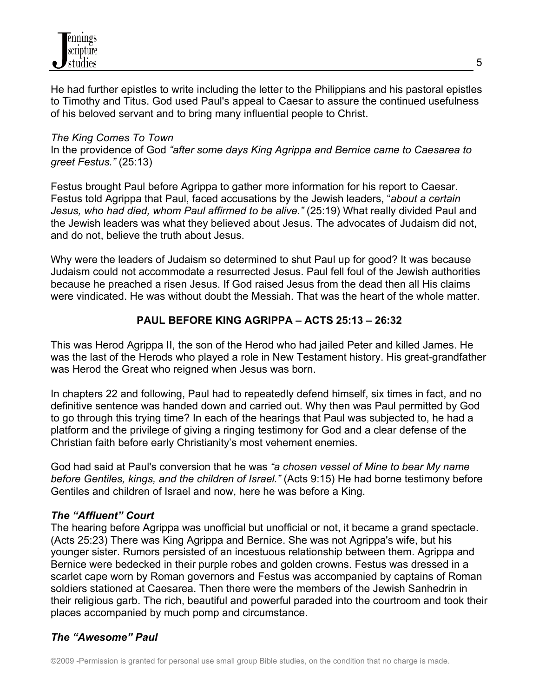

He had further epistles to write including the letter to the Philippians and his pastoral epistles to Timothy and Titus. God used Paul's appeal to Caesar to assure the continued usefulness of his beloved servant and to bring many influential people to Christ.

#### *The King Comes To Town*

In the providence of God *"after some days King Agrippa and Bernice came to Caesarea to greet Festus."* (25:13)

Festus brought Paul before Agrippa to gather more information for his report to Caesar. Festus told Agrippa that Paul, faced accusations by the Jewish leaders, "*about a certain*  Jesus, who had died, whom Paul affirmed to be alive." (25:19) What really divided Paul and the Jewish leaders was what they believed about Jesus. The advocates of Judaism did not, and do not, believe the truth about Jesus.

Why were the leaders of Judaism so determined to shut Paul up for good? It was because Judaism could not accommodate a resurrected Jesus. Paul fell foul of the Jewish authorities because he preached a risen Jesus. If God raised Jesus from the dead then all His claims were vindicated. He was without doubt the Messiah. That was the heart of the whole matter.

### **PAUL BEFORE KING AGRIPPA – ACTS 25:13 – 26:32**

This was Herod Agrippa II, the son of the Herod who had jailed Peter and killed James. He was the last of the Herods who played a role in New Testament history. His great-grandfather was Herod the Great who reigned when Jesus was born.

In chapters 22 and following, Paul had to repeatedly defend himself, six times in fact, and no definitive sentence was handed down and carried out. Why then was Paul permitted by God to go through this trying time? In each of the hearings that Paul was subjected to, he had a platform and the privilege of giving a ringing testimony for God and a clear defense of the Christian faith before early Christianity's most vehement enemies.

God had said at Paul's conversion that he was *"a chosen vessel of Mine to bear My name before Gentiles, kings, and the children of Israel."* (Acts 9:15) He had borne testimony before Gentiles and children of Israel and now, here he was before a King.

#### *The "Affluent" Court*

The hearing before Agrippa was unofficial but unofficial or not, it became a grand spectacle. (Acts 25:23) There was King Agrippa and Bernice. She was not Agrippa's wife, but his younger sister. Rumors persisted of an incestuous relationship between them. Agrippa and Bernice were bedecked in their purple robes and golden crowns. Festus was dressed in a scarlet cape worn by Roman governors and Festus was accompanied by captains of Roman soldiers stationed at Caesarea. Then there were the members of the Jewish Sanhedrin in their religious garb. The rich, beautiful and powerful paraded into the courtroom and took their places accompanied by much pomp and circumstance.

#### *The "Awesome" Paul*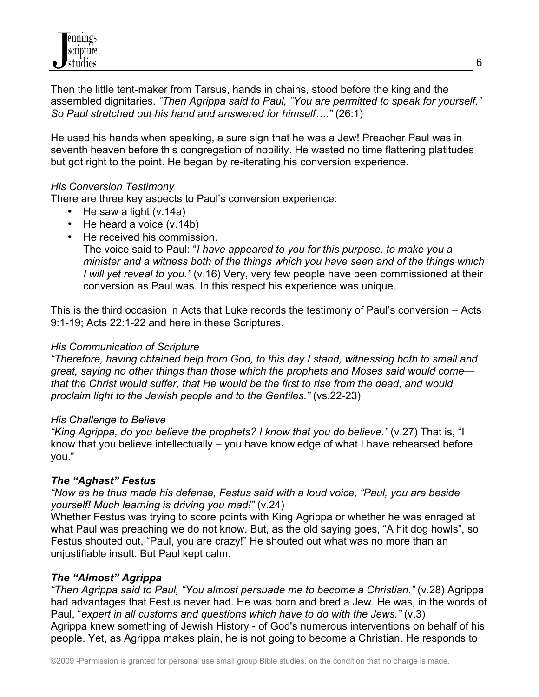Then the little tent-maker from Tarsus, hands in chains, stood before the king and the assembled dignitaries. *"Then Agrippa said to Paul, "You are permitted to speak for yourself." So Paul stretched out his hand and answered for himself…."* (26:1)

He used his hands when speaking, a sure sign that he was a Jew! Preacher Paul was in seventh heaven before this congregation of nobility. He wasted no time flattering platitudes but got right to the point. He began by re-iterating his conversion experience.

## *His Conversion Testimony*

There are three key aspects to Paul's conversion experience:

- He saw a light (v.14a)
- He heard a voice (v.14b)
- He received his commission.

The voice said to Paul: "*I have appeared to you for this purpose, to make you a minister and a witness both of the things which you have seen and of the things which I will yet reveal to you."* (v.16) Very, very few people have been commissioned at their conversion as Paul was. In this respect his experience was unique.

This is the third occasion in Acts that Luke records the testimony of Paul's conversion – Acts 9:1-19; Acts 22:1-22 and here in these Scriptures.

#### *His Communication of Scripture*

*"Therefore, having obtained help from God, to this day I stand, witnessing both to small and great, saying no other things than those which the prophets and Moses said would come that the Christ would suffer, that He would be the first to rise from the dead, and would proclaim light to the Jewish people and to the Gentiles."* (vs.22-23)

#### *His Challenge to Believe*

*"King Agrippa, do you believe the prophets? I know that you do believe."* (v.27) That is, "I know that you believe intellectually – you have knowledge of what I have rehearsed before you."

## *The "Aghast" Festus*

*"Now as he thus made his defense, Festus said with a loud voice, "Paul, you are beside yourself! Much learning is driving you mad!"* (v.24)

Whether Festus was trying to score points with King Agrippa or whether he was enraged at what Paul was preaching we do not know. But, as the old saying goes, "A hit dog howls", so Festus shouted out, "Paul, you are crazy!" He shouted out what was no more than an unjustifiable insult. But Paul kept calm.

## *The "Almost" Agrippa*

*"Then Agrippa said to Paul, "You almost persuade me to become a Christian."* (v.28) Agrippa had advantages that Festus never had. He was born and bred a Jew. He was, in the words of Paul, "*expert in all customs and questions which have to do with the Jews."* (v.3) Agrippa knew something of Jewish History - of God's numerous interventions on behalf of his people. Yet, as Agrippa makes plain, he is not going to become a Christian. He responds to